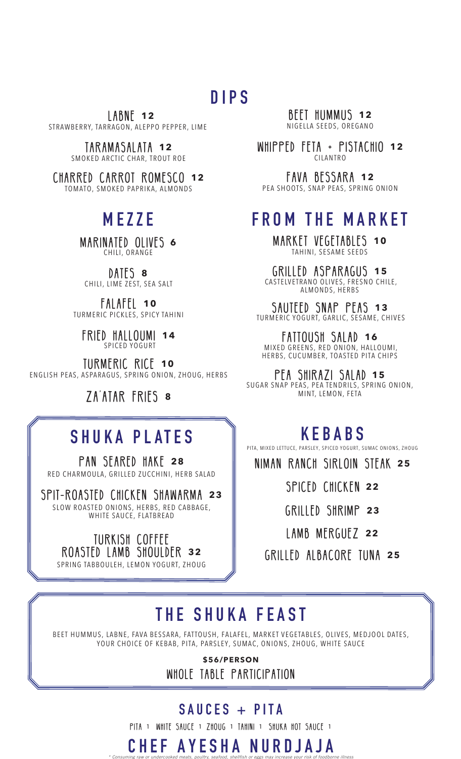#### **DIPS**

 LABNE **12** STRAWBERRY, TARRAGON, ALEPPO PEPPER, LIME

> TARAMASALATA **12** SMOKED ARCTIC CHAR, TROUT ROE

CHARRED CARROT ROMESCO **12** TOMATO, SMOKED PAPRIKA, ALMONDS

**MEZZE** MARINATED OLIVES **<sup>6</sup>** CHILI, ORANGE

DATES **8** CHILI, LIME ZEST, SEA SALT

FALAFEL **10** TURMERIC PICKLES, SPICY TAHINI

FRIED HALLOUMI **14** SPICED YOGURT

TURMERIC RICE **10** ENGLISH PEAS, ASPARAGUS, SPRING ONION, ZHOUG, HERBS

ZA'ATAR FRIES **<sup>8</sup>**

## SHUKA PLATES

PAN SEARED HAKE **28** RED CHARMOULA, GRILLED ZUCCHINI, HERB SALAD

SPIT-ROASTED CHICKEN SHAWARMA **23** SLOW ROASTED ONIONS, HERBS, RED CABBAGE, WHITE SAUCE, FLATBREAD

L

**TURKISH COFFEE** ROASTED LAMB SHOULDER **32** SPRING TABBOULEH, LEMON YOGURT, ZHOUG

BEET HUMMUS **12** NIGELLA SEEDS, OREGANO

WHIPPED FETA + PISTACHIO **12** CILANTRO

FAVA BESSARA **12** PEA SHOOTS, SNAP PEAS, SPRING ONION

### **FROM THE MARKET**

MARKET VEGETABLES **10** TAHINI, SESAME SEEDS

GRILLED ASPARAGUS **15** CASTELVETRANO OLIVES, FRESNO CHILE, ALMONDS, HERBS

SAUTEED SNAP PEAS **13** TURMERIC YOGURT, GARLIC, SESAME, CHIVES

FATTOUSH SALAD **16** MIXED GREENS, RED ONION, HALLOUMI, HERBS, CUCUMBER, TOASTED PITA CHIPS

PEA SHIRAZI SALAD **15** SUGAR SNAP PEAS, PEA TENDRILS, SPRING ONION, MINT, LEMON, FETA

#### **KEBABS**

PITA, MIXED LETTUCE, PARSLEY, SPICED YOGURT, SUMAC ONIONS, ZHOUG

niman ranch sirloin steak **<sup>25</sup>**

SPICED CHICKEN **22** 

GRILLED SHRIMP **<sup>23</sup>**

LAMB MERGUEZ **<sup>22</sup>**

GRILLED ALBACORE TUNA **25**

## **THE SHUKA FEAST**

BEET HUMMUS, LABNE, FAVA BESSARA, FATTOUSH, FALAFEL, MARKET VEGETABLES, OLIVES, MEDJOOL DATES, YOUR CHOICE OF KEBAB, PITA, PARSLEY, SUMAC, ONIONS, ZHOUG, WHITE SAUCE

> **\$56/PERSON**  WHOLE TABLE PARTICIPATION

#### **SAUCES + PITA**

PITA 1 WHITE SAUCE 1 ZHOUG 1 TAHINI 1 SHUKA HOT SAUCE 1

*\* Consuming raw or undercooked meats, poultry, seafood, shellfish or eggs may increase your risk of foodborne illness* 

**CHEF AYESHA NURDJAJA**